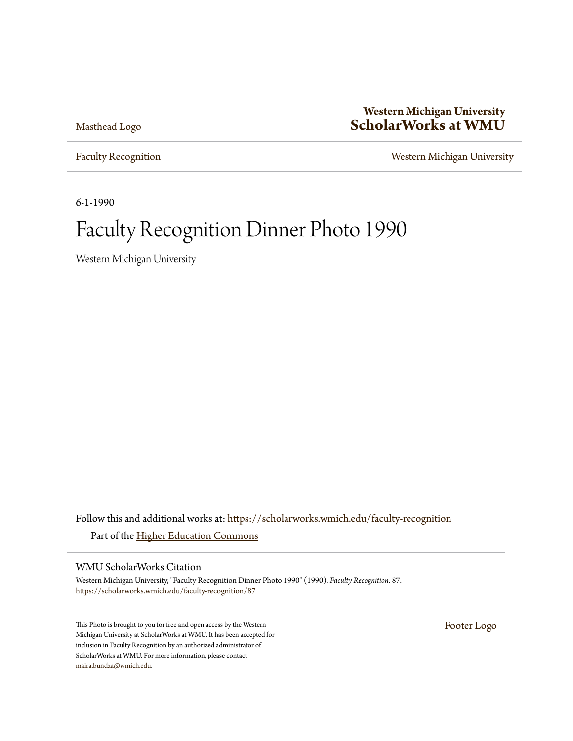[Masthead Logo](http://scholarworks.wmich.edu?utm_source=scholarworks.wmich.edu%2Ffaculty-recognition%2F87&utm_medium=PDF&utm_campaign=PDFCoverPages)

### **Western Michigan University [ScholarWorks at WMU](https://scholarworks.wmich.edu?utm_source=scholarworks.wmich.edu%2Ffaculty-recognition%2F87&utm_medium=PDF&utm_campaign=PDFCoverPages)**

[Faculty Recognition](https://scholarworks.wmich.edu/faculty-recognition?utm_source=scholarworks.wmich.edu%2Ffaculty-recognition%2F87&utm_medium=PDF&utm_campaign=PDFCoverPages) **[Western Michigan University](https://scholarworks.wmich.edu/wmu?utm_source=scholarworks.wmich.edu%2Ffaculty-recognition%2F87&utm_medium=PDF&utm_campaign=PDFCoverPages)** 

6-1-1990

# Faculty Recognition Dinner Photo 1990

Western Michigan University

Follow this and additional works at: [https://scholarworks.wmich.edu/faculty-recognition](https://scholarworks.wmich.edu/faculty-recognition?utm_source=scholarworks.wmich.edu%2Ffaculty-recognition%2F87&utm_medium=PDF&utm_campaign=PDFCoverPages) Part of the [Higher Education Commons](http://network.bepress.com/hgg/discipline/1245?utm_source=scholarworks.wmich.edu%2Ffaculty-recognition%2F87&utm_medium=PDF&utm_campaign=PDFCoverPages)

WMU ScholarWorks Citation

Western Michigan University, "Faculty Recognition Dinner Photo 1990" (1990). *Faculty Recognition*. 87. [https://scholarworks.wmich.edu/faculty-recognition/87](https://scholarworks.wmich.edu/faculty-recognition/87?utm_source=scholarworks.wmich.edu%2Ffaculty-recognition%2F87&utm_medium=PDF&utm_campaign=PDFCoverPages)

This Photo is brought to you for free and open access by the Western Michigan University at ScholarWorks at WMU. It has been accepted for inclusion in Faculty Recognition by an authorized administrator of ScholarWorks at WMU. For more information, please contact [maira.bundza@wmich.edu](mailto:maira.bundza@wmich.edu).

[Footer Logo](http://scholarworks.wmich.edu?utm_source=scholarworks.wmich.edu%2Ffaculty-recognition%2F87&utm_medium=PDF&utm_campaign=PDFCoverPages)